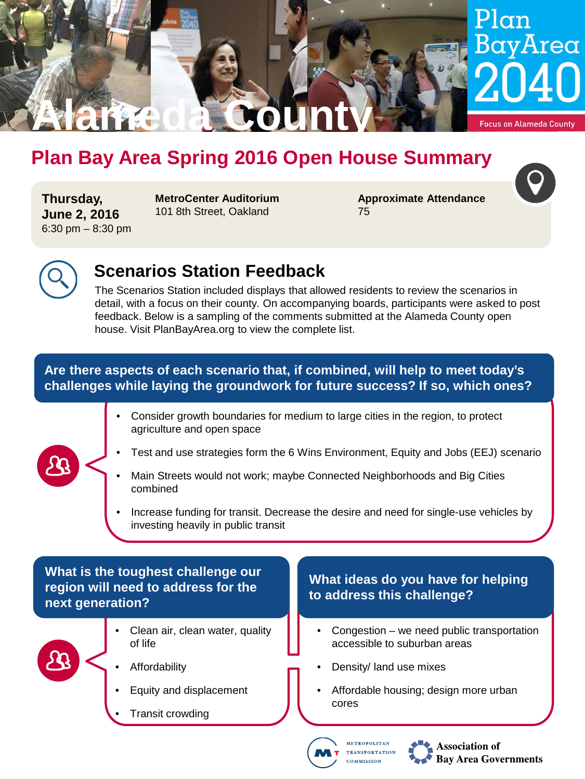

# **Plan Bay Area Spring 2016 Open House Summary**

**Thursday, June 2, 2016** 6:30 pm – 8:30 pm **MetroCenter Auditorium** 101 8th Street, Oakland

**Approximate Attendance** 75



# **Scenarios Station Feedback**

The Scenarios Station included displays that allowed residents to review the scenarios in detail, with a focus on their county. On accompanying boards, participants were asked to post feedback. Below is a sampling of the comments submitted at the Alameda County open house. Visit PlanBayArea.org to view the complete list.

### **Are there aspects of each scenario that, if combined, will help to meet today's challenges while laying the groundwork for future success? If so, which ones?**

- Consider growth boundaries for medium to large cities in the region, to protect agriculture and open space
- Test and use strategies form the 6 Wins Environment, Equity and Jobs (EEJ) scenario
- Main Streets would not work; maybe Connected Neighborhoods and Big Cities combined
- Increase funding for transit. Decrease the desire and need for single-use vehicles by investing heavily in public transit

## **What is the toughest challenge our region will need to address for the next generation?**



- Clean air, clean water, quality of life
- **Affordability**
- Equity and displacement
- Transit crowding

#### **What ideas do you have for helping to address this challenge?**

- Congestion we need public transportation accessible to suburban areas
- Density/ land use mixes
- Affordable housing; design more urban cores



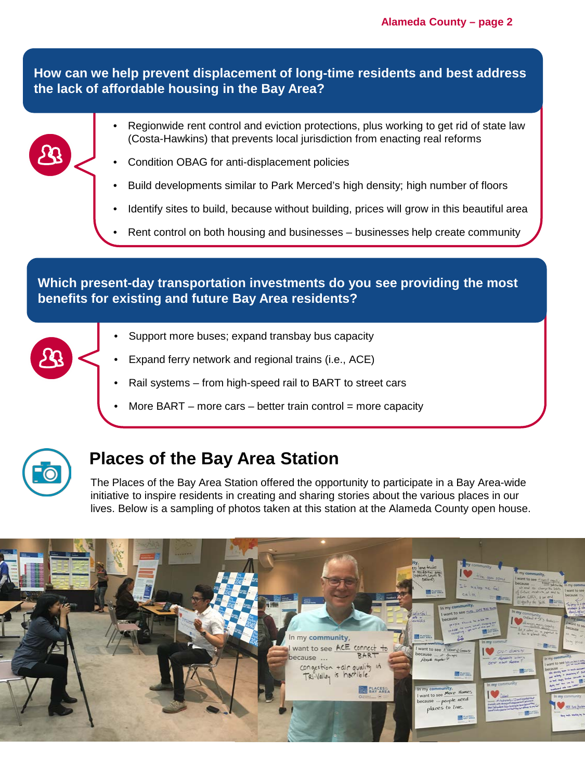**How can we help prevent displacement of long-time residents and best address the lack of affordable housing in the Bay Area?**



- Regionwide rent control and eviction protections, plus working to get rid of state law (Costa-Hawkins) that prevents local jurisdiction from enacting real reforms
- Condition OBAG for anti-displacement policies
- Build developments similar to Park Merced's high density; high number of floors
- Identify sites to build, because without building, prices will grow in this beautiful area
- Rent control on both housing and businesses businesses help create community

#### **Which present-day transportation investments do you see providing the most benefits for existing and future Bay Area residents?**

- Support more buses; expand transbay bus capacity
- Expand ferry network and regional trains (i.e., ACE)
- Rail systems from high-speed rail to BART to street cars
- More BART more cars better train control = more capacity



# **Places of the Bay Area Station**

The Places of the Bay Area Station offered the opportunity to participate in a Bay Area-wide initiative to inspire residents in creating and sharing stories about the various places in our lives. Below is a sampling of photos taken at this station at the Alameda County open house.

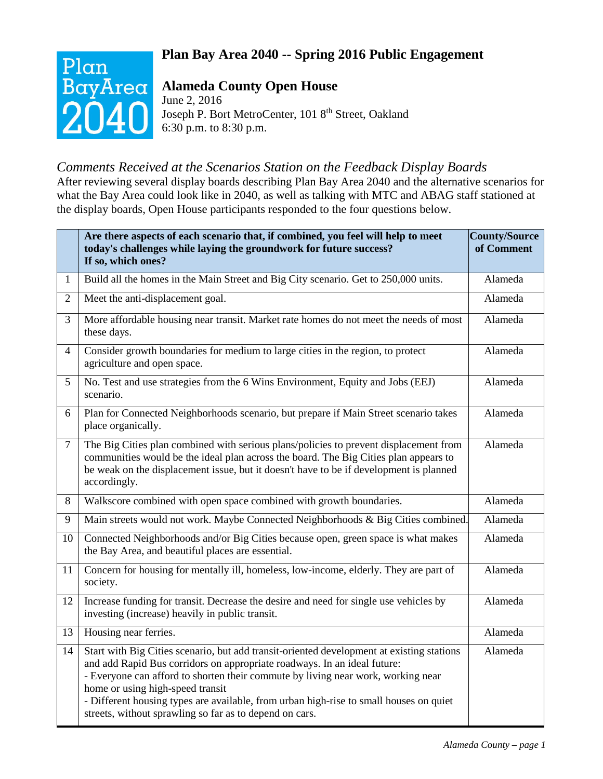## **Plan Bay Area 2040 -- Spring 2016 Public Engagement**



# **Alameda County Open House**

June 2, 2016 Joseph P. Bort MetroCenter, 101 8th Street, Oakland 6:30 p.m. to 8:30 p.m.

# *Comments Received at the Scenarios Station on the Feedback Display Boards*

After reviewing several display boards describing Plan Bay Area 2040 and the alternative scenarios for what the Bay Area could look like in 2040, as well as talking with MTC and ABAG staff stationed at the display boards, Open House participants responded to the four questions below.

|                | Are there aspects of each scenario that, if combined, you feel will help to meet<br>today's challenges while laying the groundwork for future success?<br>If so, which ones?                                                                                                                                                                                                                                                                       | County/Source<br>of Comment |
|----------------|----------------------------------------------------------------------------------------------------------------------------------------------------------------------------------------------------------------------------------------------------------------------------------------------------------------------------------------------------------------------------------------------------------------------------------------------------|-----------------------------|
| $\mathbf{1}$   | Build all the homes in the Main Street and Big City scenario. Get to 250,000 units.                                                                                                                                                                                                                                                                                                                                                                | Alameda                     |
| $\overline{2}$ | Meet the anti-displacement goal.                                                                                                                                                                                                                                                                                                                                                                                                                   | Alameda                     |
| 3              | More affordable housing near transit. Market rate homes do not meet the needs of most<br>these days.                                                                                                                                                                                                                                                                                                                                               | Alameda                     |
| $\overline{4}$ | Consider growth boundaries for medium to large cities in the region, to protect<br>agriculture and open space.                                                                                                                                                                                                                                                                                                                                     | Alameda                     |
| 5              | No. Test and use strategies from the 6 Wins Environment, Equity and Jobs (EEJ)<br>scenario.                                                                                                                                                                                                                                                                                                                                                        | Alameda                     |
| 6              | Plan for Connected Neighborhoods scenario, but prepare if Main Street scenario takes<br>place organically.                                                                                                                                                                                                                                                                                                                                         | Alameda                     |
| $\tau$         | The Big Cities plan combined with serious plans/policies to prevent displacement from<br>communities would be the ideal plan across the board. The Big Cities plan appears to<br>be weak on the displacement issue, but it doesn't have to be if development is planned<br>accordingly.                                                                                                                                                            | Alameda                     |
| 8              | Walkscore combined with open space combined with growth boundaries.                                                                                                                                                                                                                                                                                                                                                                                | Alameda                     |
| 9              | Main streets would not work. Maybe Connected Neighborhoods & Big Cities combined.                                                                                                                                                                                                                                                                                                                                                                  | Alameda                     |
| 10             | Connected Neighborhoods and/or Big Cities because open, green space is what makes<br>the Bay Area, and beautiful places are essential.                                                                                                                                                                                                                                                                                                             | Alameda                     |
| 11             | Concern for housing for mentally ill, homeless, low-income, elderly. They are part of<br>society.                                                                                                                                                                                                                                                                                                                                                  | Alameda                     |
| 12             | Increase funding for transit. Decrease the desire and need for single use vehicles by<br>investing (increase) heavily in public transit.                                                                                                                                                                                                                                                                                                           | Alameda                     |
| 13             | Housing near ferries.                                                                                                                                                                                                                                                                                                                                                                                                                              | Alameda                     |
| 14             | Start with Big Cities scenario, but add transit-oriented development at existing stations<br>and add Rapid Bus corridors on appropriate roadways. In an ideal future:<br>- Everyone can afford to shorten their commute by living near work, working near<br>home or using high-speed transit<br>- Different housing types are available, from urban high-rise to small houses on quiet<br>streets, without sprawling so far as to depend on cars. | Alameda                     |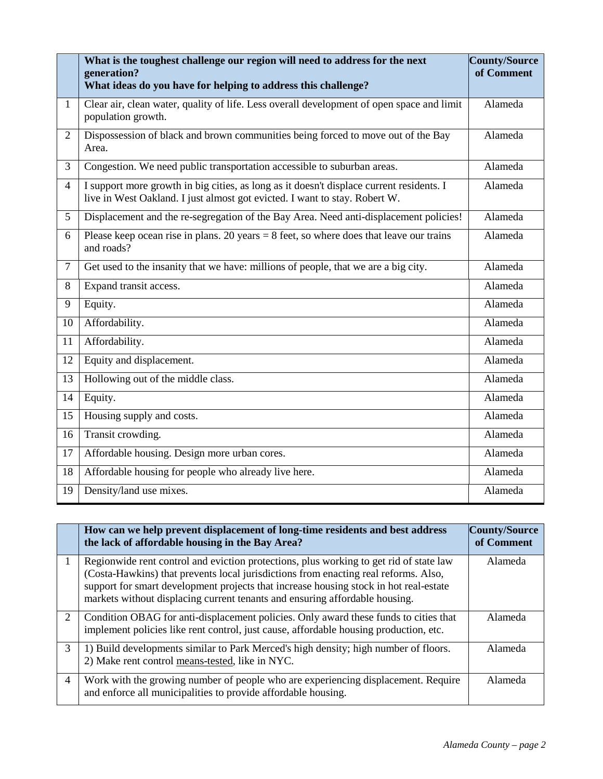|                | What is the toughest challenge our region will need to address for the next<br>generation?<br>What ideas do you have for helping to address this challenge?            | County/Source<br>of Comment |
|----------------|------------------------------------------------------------------------------------------------------------------------------------------------------------------------|-----------------------------|
| $\mathbf{1}$   | Clear air, clean water, quality of life. Less overall development of open space and limit<br>population growth.                                                        | Alameda                     |
| $\overline{2}$ | Dispossession of black and brown communities being forced to move out of the Bay<br>Area.                                                                              | Alameda                     |
| $\overline{3}$ | Congestion. We need public transportation accessible to suburban areas.                                                                                                | Alameda                     |
| $\overline{4}$ | I support more growth in big cities, as long as it doesn't displace current residents. I<br>live in West Oakland. I just almost got evicted. I want to stay. Robert W. | Alameda                     |
| 5              | Displacement and the re-segregation of the Bay Area. Need anti-displacement policies!                                                                                  | Alameda                     |
| 6              | Please keep ocean rise in plans. 20 years $= 8$ feet, so where does that leave our trains<br>and roads?                                                                | Alameda                     |
| $\overline{7}$ | Get used to the insanity that we have: millions of people, that we are a big city.                                                                                     | Alameda                     |
| 8              | Expand transit access.                                                                                                                                                 | Alameda                     |
| 9              | Equity.                                                                                                                                                                | Alameda                     |
| 10             | Affordability.                                                                                                                                                         | Alameda                     |
| 11             | Affordability.                                                                                                                                                         | Alameda                     |
| 12             | Equity and displacement.                                                                                                                                               | Alameda                     |
| 13             | Hollowing out of the middle class.                                                                                                                                     | Alameda                     |
| 14             | Equity.                                                                                                                                                                | Alameda                     |
| 15             | Housing supply and costs.                                                                                                                                              | Alameda                     |
| 16             | Transit crowding.                                                                                                                                                      | Alameda                     |
| 17             | Affordable housing. Design more urban cores.                                                                                                                           | Alameda                     |
| 18             | Affordable housing for people who already live here.                                                                                                                   | Alameda                     |
| 19             | Density/land use mixes.                                                                                                                                                | Alameda                     |

|                | How can we help prevent displacement of long-time residents and best address<br>the lack of affordable housing in the Bay Area?                                                                                                                                                                                                                       | <b>County/Source</b><br>of Comment |
|----------------|-------------------------------------------------------------------------------------------------------------------------------------------------------------------------------------------------------------------------------------------------------------------------------------------------------------------------------------------------------|------------------------------------|
|                | Regionwide rent control and eviction protections, plus working to get rid of state law<br>(Costa-Hawkins) that prevents local jurisdictions from enacting real reforms. Also,<br>support for smart development projects that increase housing stock in hot real-estate<br>markets without displacing current tenants and ensuring affordable housing. | Alameda                            |
| 2              | Condition OBAG for anti-displacement policies. Only award these funds to cities that<br>implement policies like rent control, just cause, affordable housing production, etc.                                                                                                                                                                         | Alameda                            |
| 3              | 1) Build developments similar to Park Merced's high density; high number of floors.<br>2) Make rent control means-tested, like in NYC.                                                                                                                                                                                                                | Alameda                            |
| $\overline{4}$ | Work with the growing number of people who are experiencing displacement. Require<br>and enforce all municipalities to provide affordable housing.                                                                                                                                                                                                    | Alameda                            |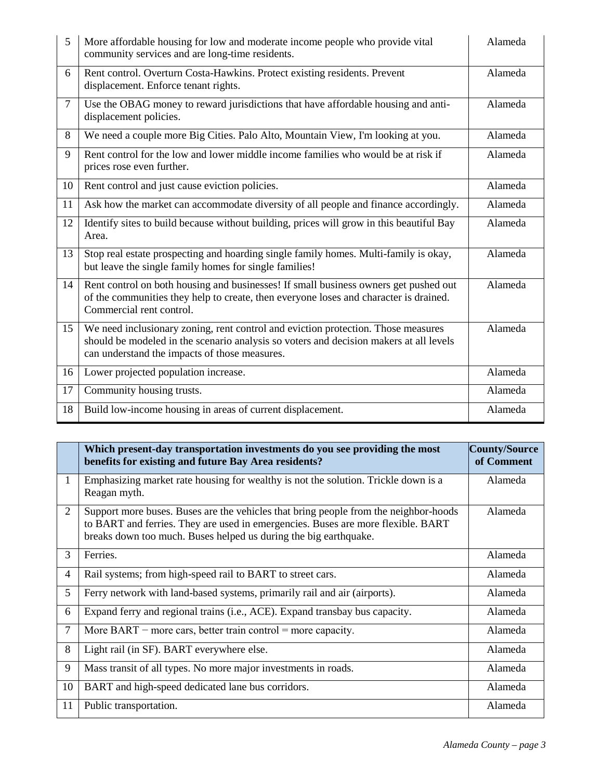| 5      | More affordable housing for low and moderate income people who provide vital<br>community services and are long-time residents.                                                                                              | Alameda |
|--------|------------------------------------------------------------------------------------------------------------------------------------------------------------------------------------------------------------------------------|---------|
| 6      | Rent control. Overturn Costa-Hawkins. Protect existing residents. Prevent<br>displacement. Enforce tenant rights.                                                                                                            | Alameda |
| $\tau$ | Use the OBAG money to reward jurisdictions that have affordable housing and anti-<br>displacement policies.                                                                                                                  | Alameda |
| 8      | We need a couple more Big Cities. Palo Alto, Mountain View, I'm looking at you.                                                                                                                                              | Alameda |
| 9      | Rent control for the low and lower middle income families who would be at risk if<br>prices rose even further.                                                                                                               | Alameda |
| 10     | Rent control and just cause eviction policies.                                                                                                                                                                               | Alameda |
| 11     | Ask how the market can accommodate diversity of all people and finance accordingly.                                                                                                                                          | Alameda |
| 12     | Identify sites to build because without building, prices will grow in this beautiful Bay<br>Area.                                                                                                                            | Alameda |
| 13     | Stop real estate prospecting and hoarding single family homes. Multi-family is okay,<br>but leave the single family homes for single families!                                                                               | Alameda |
| 14     | Rent control on both housing and businesses! If small business owners get pushed out<br>of the communities they help to create, then everyone loses and character is drained.<br>Commercial rent control.                    | Alameda |
| 15     | We need inclusionary zoning, rent control and eviction protection. Those measures<br>should be modeled in the scenario analysis so voters and decision makers at all levels<br>can understand the impacts of those measures. | Alameda |
| 16     | Lower projected population increase.                                                                                                                                                                                         | Alameda |
| 17     | Community housing trusts.                                                                                                                                                                                                    | Alameda |
| 18     | Build low-income housing in areas of current displacement.                                                                                                                                                                   | Alameda |

|                | Which present-day transportation investments do you see providing the most<br>benefits for existing and future Bay Area residents?                                                                                                           | County/Source<br>of Comment |
|----------------|----------------------------------------------------------------------------------------------------------------------------------------------------------------------------------------------------------------------------------------------|-----------------------------|
| $\mathbf{1}$   | Emphasizing market rate housing for wealthy is not the solution. Trickle down is a<br>Reagan myth.                                                                                                                                           | Alameda                     |
| 2              | Support more buses. Buses are the vehicles that bring people from the neighbor-hoods<br>to BART and ferries. They are used in emergencies. Buses are more flexible. BART<br>breaks down too much. Buses helped us during the big earthquake. | Alameda                     |
| $\overline{3}$ | Ferries.                                                                                                                                                                                                                                     | Alameda                     |
| $\overline{4}$ | Rail systems; from high-speed rail to BART to street cars.                                                                                                                                                                                   | Alameda                     |
| 5              | Ferry network with land-based systems, primarily rail and air (airports).                                                                                                                                                                    | Alameda                     |
| 6              | Expand ferry and regional trains (i.e., ACE). Expand transbay bus capacity.                                                                                                                                                                  | Alameda                     |
| $\overline{7}$ | More BART – more cars, better train control = more capacity.                                                                                                                                                                                 | Alameda                     |
| 8              | Light rail (in SF). BART everywhere else.                                                                                                                                                                                                    | Alameda                     |
| 9              | Mass transit of all types. No more major investments in roads.                                                                                                                                                                               | Alameda                     |
| 10             | BART and high-speed dedicated lane bus corridors.                                                                                                                                                                                            | Alameda                     |
| 11             | Public transportation.                                                                                                                                                                                                                       | Alameda                     |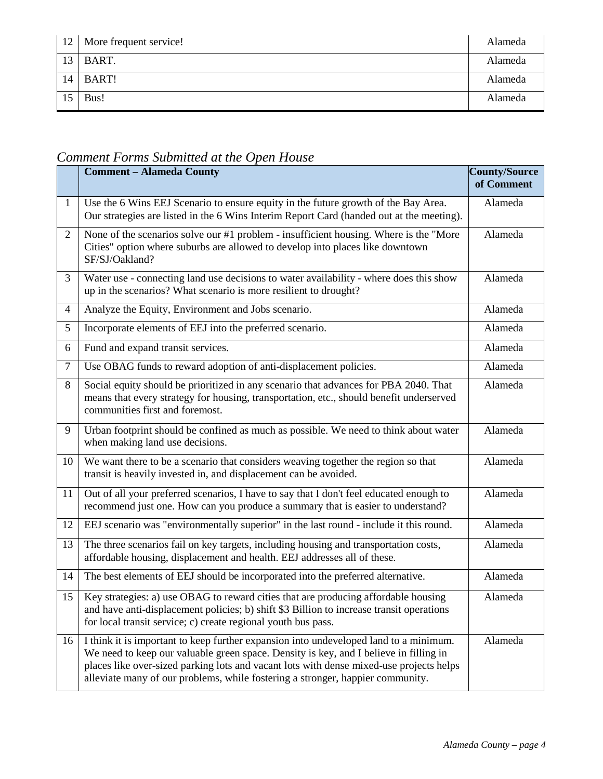| 12 | More frequent service! | Alameda |
|----|------------------------|---------|
| 13 | BART.                  | Alameda |
| 14 | BART!                  | Alameda |
| 15 | Bus!                   | Alameda |

# *Comment Forms Submitted at the Open House*

|                | <b>Comment - Alameda County</b>                                                                                                                                                                                                                                                                                                                             | County/Source<br>of Comment |
|----------------|-------------------------------------------------------------------------------------------------------------------------------------------------------------------------------------------------------------------------------------------------------------------------------------------------------------------------------------------------------------|-----------------------------|
| $\mathbf{1}$   | Use the 6 Wins EEJ Scenario to ensure equity in the future growth of the Bay Area.<br>Our strategies are listed in the 6 Wins Interim Report Card (handed out at the meeting).                                                                                                                                                                              | Alameda                     |
| $\overline{2}$ | None of the scenarios solve our #1 problem - insufficient housing. Where is the "More"<br>Cities" option where suburbs are allowed to develop into places like downtown<br>SF/SJ/Oakland?                                                                                                                                                                   | Alameda                     |
| 3              | Water use - connecting land use decisions to water availability - where does this show<br>up in the scenarios? What scenario is more resilient to drought?                                                                                                                                                                                                  | Alameda                     |
| $\overline{4}$ | Analyze the Equity, Environment and Jobs scenario.                                                                                                                                                                                                                                                                                                          | Alameda                     |
| 5              | Incorporate elements of EEJ into the preferred scenario.                                                                                                                                                                                                                                                                                                    | Alameda                     |
| 6              | Fund and expand transit services.                                                                                                                                                                                                                                                                                                                           | Alameda                     |
| $\tau$         | Use OBAG funds to reward adoption of anti-displacement policies.                                                                                                                                                                                                                                                                                            | Alameda                     |
| 8              | Social equity should be prioritized in any scenario that advances for PBA 2040. That<br>means that every strategy for housing, transportation, etc., should benefit underserved<br>communities first and foremost.                                                                                                                                          | Alameda                     |
| 9              | Urban footprint should be confined as much as possible. We need to think about water<br>when making land use decisions.                                                                                                                                                                                                                                     | Alameda                     |
| 10             | We want there to be a scenario that considers weaving together the region so that<br>transit is heavily invested in, and displacement can be avoided.                                                                                                                                                                                                       | Alameda                     |
| 11             | Out of all your preferred scenarios, I have to say that I don't feel educated enough to<br>recommend just one. How can you produce a summary that is easier to understand?                                                                                                                                                                                  | Alameda                     |
| 12             | EEJ scenario was "environmentally superior" in the last round - include it this round.                                                                                                                                                                                                                                                                      | Alameda                     |
| 13             | The three scenarios fail on key targets, including housing and transportation costs,<br>affordable housing, displacement and health. EEJ addresses all of these.                                                                                                                                                                                            | Alameda                     |
| 14             | The best elements of EEJ should be incorporated into the preferred alternative.                                                                                                                                                                                                                                                                             | Alameda                     |
| 15             | Key strategies: a) use OBAG to reward cities that are producing affordable housing<br>and have anti-displacement policies; b) shift \$3 Billion to increase transit operations<br>for local transit service; c) create regional youth bus pass.                                                                                                             | Alameda                     |
| 16             | I think it is important to keep further expansion into undeveloped land to a minimum.<br>We need to keep our valuable green space. Density is key, and I believe in filling in<br>places like over-sized parking lots and vacant lots with dense mixed-use projects helps<br>alleviate many of our problems, while fostering a stronger, happier community. | Alameda                     |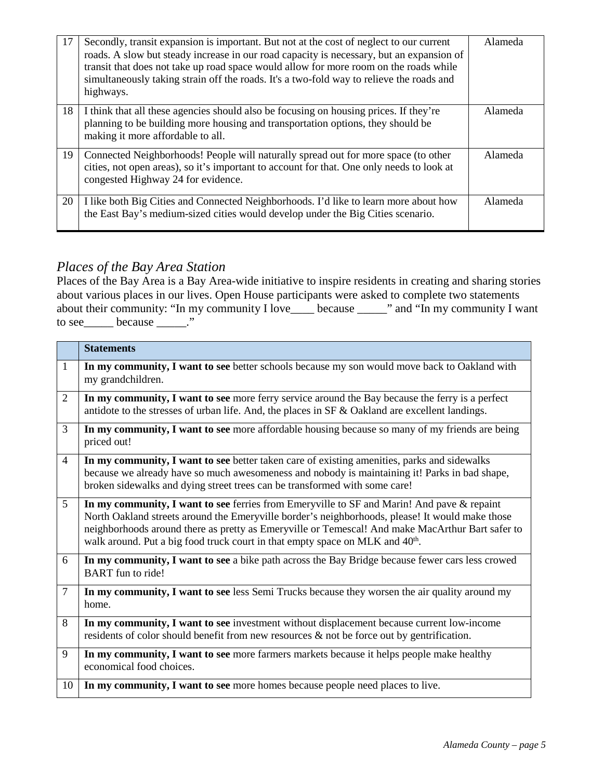| 17 | Secondly, transit expansion is important. But not at the cost of neglect to our current<br>roads. A slow but steady increase in our road capacity is necessary, but an expansion of<br>transit that does not take up road space would allow for more room on the roads while<br>simultaneously taking strain off the roads. It's a two-fold way to relieve the roads and<br>highways. | Alameda |
|----|---------------------------------------------------------------------------------------------------------------------------------------------------------------------------------------------------------------------------------------------------------------------------------------------------------------------------------------------------------------------------------------|---------|
| 18 | I think that all these agencies should also be focusing on housing prices. If they're<br>planning to be building more housing and transportation options, they should be<br>making it more affordable to all.                                                                                                                                                                         | Alameda |
| 19 | Connected Neighborhoods! People will naturally spread out for more space (to other<br>cities, not open areas), so it's important to account for that. One only needs to look at<br>congested Highway 24 for evidence.                                                                                                                                                                 | Alameda |
| 20 | I like both Big Cities and Connected Neighborhoods. I'd like to learn more about how<br>the East Bay's medium-sized cities would develop under the Big Cities scenario.                                                                                                                                                                                                               | Alameda |

### *Places of the Bay Area Station*

Places of the Bay Area is a Bay Area-wide initiative to inspire residents in creating and sharing stories about various places in our lives. Open House participants were asked to complete two statements about their community: "In my community I love\_\_\_\_ because \_\_\_\_\_" and "In my community I want to see because \_\_\_\_\_."

|                 | <b>Statements</b>                                                                                                                                                                                                                                                                                                                                                                              |
|-----------------|------------------------------------------------------------------------------------------------------------------------------------------------------------------------------------------------------------------------------------------------------------------------------------------------------------------------------------------------------------------------------------------------|
| $\mathbf{1}$    | In my community, I want to see better schools because my son would move back to Oakland with<br>my grandchildren.                                                                                                                                                                                                                                                                              |
| 2               | In my community, I want to see more ferry service around the Bay because the ferry is a perfect<br>antidote to the stresses of urban life. And, the places in SF & Oakland are excellent landings.                                                                                                                                                                                             |
| 3               | In my community, I want to see more affordable housing because so many of my friends are being<br>priced out!                                                                                                                                                                                                                                                                                  |
| $\overline{4}$  | In my community, I want to see better taken care of existing amenities, parks and sidewalks<br>because we already have so much awesomeness and nobody is maintaining it! Parks in bad shape,<br>broken sidewalks and dying street trees can be transformed with some care!                                                                                                                     |
| $5\overline{)}$ | In my community, I want to see ferries from Emeryville to SF and Marin! And pave & repaint<br>North Oakland streets around the Emeryville border's neighborhoods, please! It would make those<br>neighborhoods around there as pretty as Emeryville or Temescal! And make MacArthur Bart safer to<br>walk around. Put a big food truck court in that empty space on MLK and 40 <sup>th</sup> . |
| 6               | In my community, I want to see a bike path across the Bay Bridge because fewer cars less crowed<br><b>BART</b> fun to ride!                                                                                                                                                                                                                                                                    |
| 7               | In my community, I want to see less Semi Trucks because they worsen the air quality around my<br>home.                                                                                                                                                                                                                                                                                         |
| 8               | In my community, I want to see investment without displacement because current low-income<br>residents of color should benefit from new resources $\&$ not be force out by gentrification.                                                                                                                                                                                                     |
| 9               | In my community, I want to see more farmers markets because it helps people make healthy<br>economical food choices.                                                                                                                                                                                                                                                                           |
| 10              | In my community, I want to see more homes because people need places to live.                                                                                                                                                                                                                                                                                                                  |